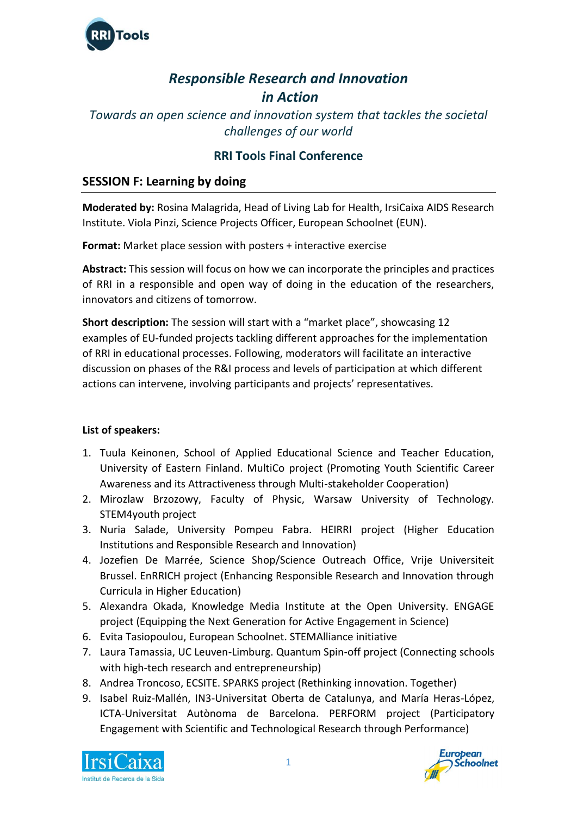

# *Responsible Research and Innovation in Action*

*Towards an open science and innovation system that tackles the societal challenges of our world*

# **RRI Tools Final Conference**

## **SESSION F: Learning by doing**

**Moderated by:** Rosina Malagrida, Head of Living Lab for Health, IrsiCaixa AIDS Research Institute. Viola Pinzi, Science Projects Officer, European Schoolnet (EUN).

**Format:** Market place session with posters + interactive exercise

**Abstract:** This session will focus on how we can incorporate the principles and practices of RRI in a responsible and open way of doing in the education of the researchers, innovators and citizens of tomorrow.

**Short description:** The session will start with a "market place", showcasing 12 examples of EU-funded projects tackling different approaches for the implementation of RRI in educational processes. Following, moderators will facilitate an interactive discussion on phases of the R&I process and levels of participation at which different actions can intervene, involving participants and projects' representatives.

## **List of speakers:**

- 1. Tuula Keinonen, School of Applied Educational Science and Teacher Education, University of Eastern Finland. MultiCo project (Promoting Youth Scientific Career Awareness and its Attractiveness through Multi-stakeholder Cooperation)
- 2. Mirozlaw Brzozowy, Faculty of Physic, Warsaw University of Technology. STEM4youth project
- 3. Nuria Salade, University Pompeu Fabra. HEIRRI project (Higher Education Institutions and Responsible Research and Innovation)
- 4. Jozefien De Marrée, Science Shop/Science Outreach Office, Vrije Universiteit Brussel. EnRRICH project (Enhancing Responsible Research and Innovation through Curricula in Higher Education)
- 5. Alexandra Okada, Knowledge Media Institute at the Open University. ENGAGE project (Equipping the Next Generation for Active Engagement in Science)
- 6. Evita Tasiopoulou, European Schoolnet. STEMAlliance initiative
- 7. Laura Tamassia, UC Leuven-Limburg. Quantum Spin-off project (Connecting schools with high-tech research and entrepreneurship)
- 8. Andrea Troncoso, ECSITE. SPARKS project (Rethinking innovation. Together)
- 9. Isabel Ruiz-Mallén, IN3-Universitat Oberta de Catalunya, and María Heras-López, ICTA-Universitat Autònoma de Barcelona. PERFORM project (Participatory Engagement with Scientific and Technological Research through Performance)



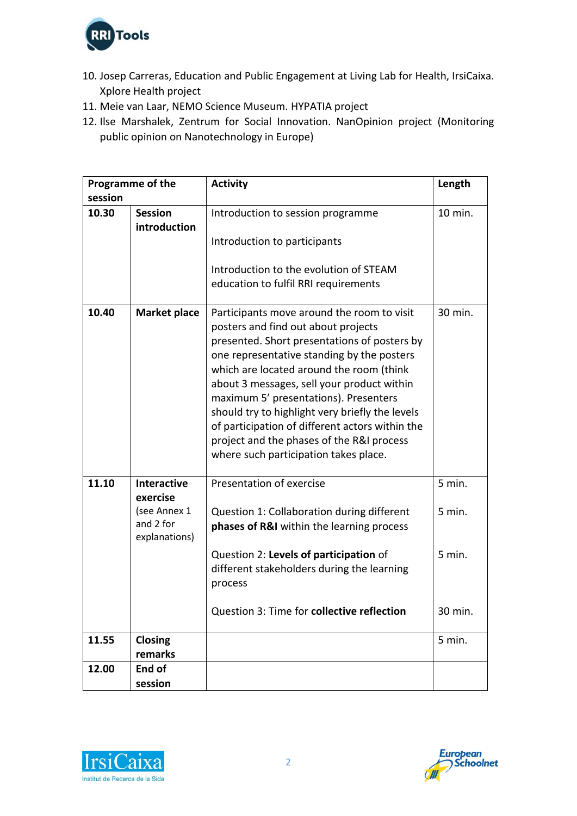

- 10. Josep Carreras, Education and Public Engagement at Living Lab for Health, IrsiCaixa. Xplore Health project
- 11. Meie van Laar, NEMO Science Museum. HYPATIA project
- 12. Ilse Marshalek, Zentrum for Social Innovation. NanOpinion project (Monitoring public opinion on Nanotechnology in Europe)

| Programme of the |                                                                              | <b>Activity</b>                                                                                                                                                                                                                                                                                                                                                                                                                                                                                                | Length                     |
|------------------|------------------------------------------------------------------------------|----------------------------------------------------------------------------------------------------------------------------------------------------------------------------------------------------------------------------------------------------------------------------------------------------------------------------------------------------------------------------------------------------------------------------------------------------------------------------------------------------------------|----------------------------|
| session          |                                                                              |                                                                                                                                                                                                                                                                                                                                                                                                                                                                                                                |                            |
| 10.30            | <b>Session</b><br>introduction                                               | Introduction to session programme                                                                                                                                                                                                                                                                                                                                                                                                                                                                              | 10 min.                    |
|                  |                                                                              | Introduction to participants                                                                                                                                                                                                                                                                                                                                                                                                                                                                                   |                            |
|                  |                                                                              | Introduction to the evolution of STEAM<br>education to fulfil RRI requirements                                                                                                                                                                                                                                                                                                                                                                                                                                 |                            |
| 10.40            | <b>Market place</b>                                                          | Participants move around the room to visit<br>posters and find out about projects<br>presented. Short presentations of posters by<br>one representative standing by the posters<br>which are located around the room (think<br>about 3 messages, sell your product within<br>maximum 5' presentations). Presenters<br>should try to highlight very briefly the levels<br>of participation of different actors within the<br>project and the phases of the R&I process<br>where such participation takes place. | 30 min.                    |
| 11.10            | <b>Interactive</b><br>exercise<br>(see Annex 1<br>and 2 for<br>explanations) | Presentation of exercise<br>Question 1: Collaboration during different<br>phases of R&I within the learning process<br>Question 2: Levels of participation of                                                                                                                                                                                                                                                                                                                                                  | 5 min.<br>5 min.<br>5 min. |
|                  |                                                                              | different stakeholders during the learning<br>process<br>Question 3: Time for collective reflection                                                                                                                                                                                                                                                                                                                                                                                                            | 30 min.                    |
| 11.55            | <b>Closing</b><br>remarks                                                    |                                                                                                                                                                                                                                                                                                                                                                                                                                                                                                                | 5 min.                     |
| 12.00            | End of                                                                       |                                                                                                                                                                                                                                                                                                                                                                                                                                                                                                                |                            |
|                  | session                                                                      |                                                                                                                                                                                                                                                                                                                                                                                                                                                                                                                |                            |
|                  |                                                                              |                                                                                                                                                                                                                                                                                                                                                                                                                                                                                                                |                            |



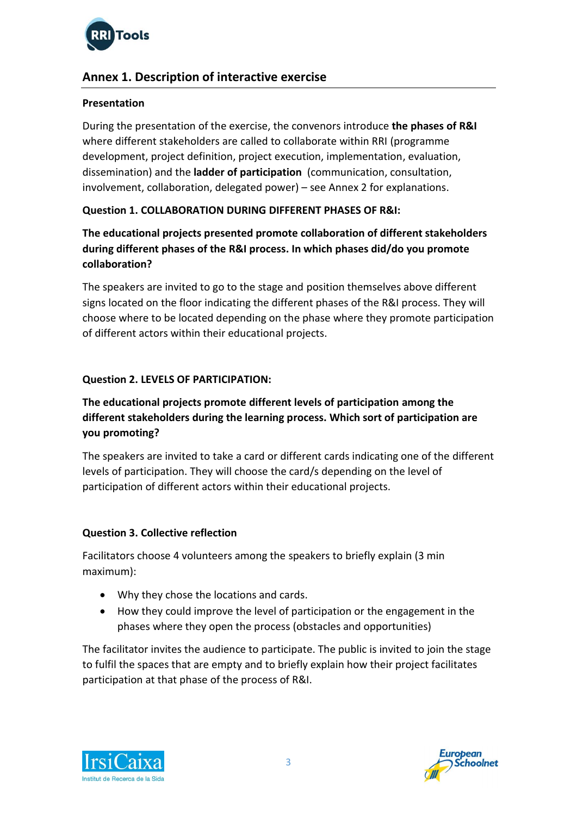

# **Annex 1. Description of interactive exercise**

### **Presentation**

During the presentation of the exercise, the convenors introduce **the phases of R&I** where different stakeholders are called to collaborate within RRI (programme development, project definition, project execution, implementation, evaluation, dissemination) and the **ladder of participation** (communication, consultation, involvement, collaboration, delegated power) – see Annex 2 for explanations.

## **Question 1. COLLABORATION DURING DIFFERENT PHASES OF R&I:**

# **The educational projects presented promote collaboration of different stakeholders during different phases of the R&I process. In which phases did/do you promote collaboration?**

The speakers are invited to go to the stage and position themselves above different signs located on the floor indicating the different phases of the R&I process. They will choose where to be located depending on the phase where they promote participation of different actors within their educational projects.

## **Question 2. LEVELS OF PARTICIPATION:**

# **The educational projects promote different levels of participation among the different stakeholders during the learning process. Which sort of participation are you promoting?**

The speakers are invited to take a card or different cards indicating one of the different levels of participation. They will choose the card/s depending on the level of participation of different actors within their educational projects.

## **Question 3. Collective reflection**

Facilitators choose 4 volunteers among the speakers to briefly explain (3 min maximum):

- Why they chose the locations and cards.
- How they could improve the level of participation or the engagement in the phases where they open the process (obstacles and opportunities)

The facilitator invites the audience to participate. The public is invited to join the stage to fulfil the spaces that are empty and to briefly explain how their project facilitates participation at that phase of the process of R&I.



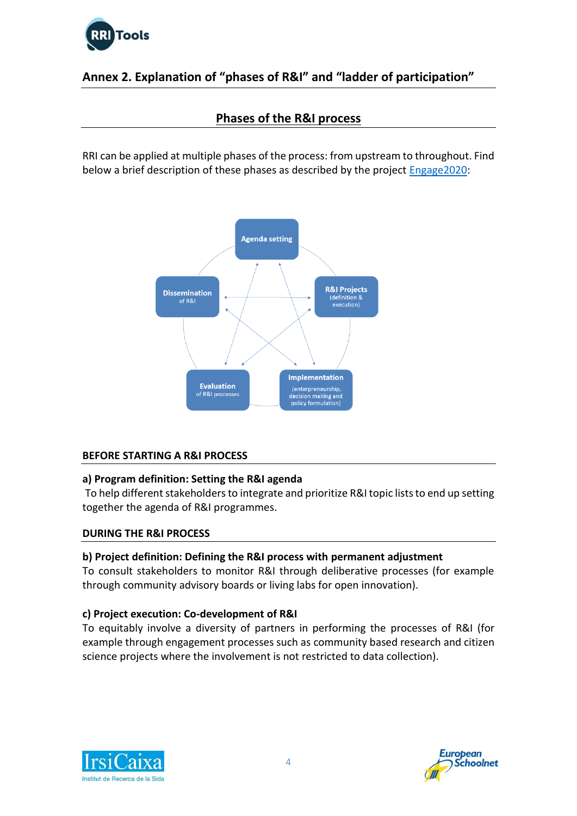

# **Annex 2. Explanation of "phases of R&I" and "ladder of participation"**

# **Phases of the R&I process**

RRI can be applied at multiple phases of the process: from upstream to throughout. Find below a brief description of these phases as described by the project [Engage2020:](http://engage2020.eu/media/Engage2020-Policy-Brief-Issue2_final.pdf)



## **BEFORE STARTING A R&I PROCESS**

#### **a) Program definition: Setting the R&I agenda**

To help different stakeholders to integrate and prioritize R&I topic lists to end up setting together the agenda of R&I programmes.

#### **DURING THE R&I PROCESS**

#### **b) Project definition: Defining the R&I process with permanent adjustment**

To consult stakeholders to monitor R&I through deliberative processes (for example through community advisory boards or living labs for open innovation).

#### **c) Project execution: Co-development of R&I**

To equitably involve a diversity of partners in performing the processes of R&I (for example through engagement processes such as [community based research](http://www.rri-tools.eu/how-to-pa-public-engagement#menu-anchor-id3-content) an[d citizen](http://www.rri-tools.eu/-/green_paper_library_elemt)  [science](http://www.rri-tools.eu/-/green_paper_library_elemt) projects where the involvement is not restricted to data collection).